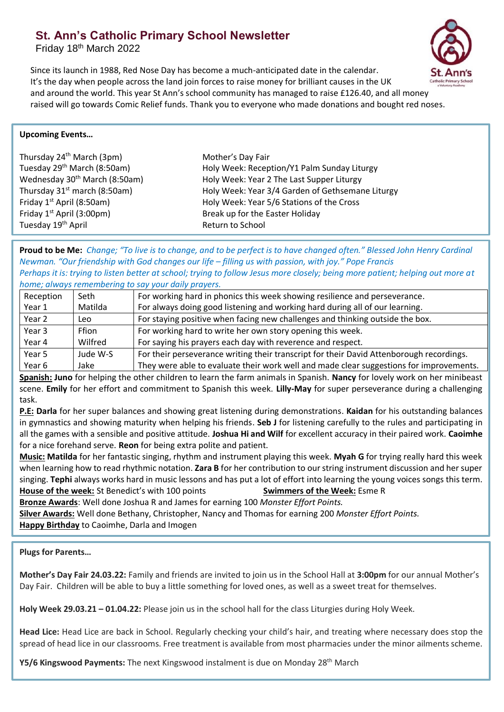## **St. Ann's Catholic Primary School Newsletter**

Friday 18th March 2022



Since its launch in 1988, Red Nose Day has become a much-anticipated date in the calendar. It's the day when people across the land join forces to raise money for brilliant causes in the UK and around the world. This year St Ann's school community has managed to raise £126.40, and all money raised will go towards Comic Relief funds. Thank you to everyone who made donations and bought red noses.

## **Upcoming Events…**

| Thursday 24 <sup>th</sup> March (3pm)     |
|-------------------------------------------|
| Tuesday 29 <sup>th</sup> March (8:50am)   |
| Wednesday 30 <sup>th</sup> March (8:50am) |
| Thursday 31 <sup>st</sup> march (8:50am)  |
| Friday 1 <sup>st</sup> April (8:50am)     |
| Friday 1 <sup>st</sup> April (3:00pm)     |
| Tuesday 19th April                        |

Mother's Day Fair Holy Week: Reception/Y1 Palm Sunday Liturgy Holy Week: Year 2 The Last Supper Liturgy Holy Week: Year 3/4 Garden of Gethsemane Liturgy Holy Week: Year 5/6 Stations of the Cross Break up for the Easter Holiday Return to School

**Proud to be Me:** *Change; "To live is to change, and to be perfect is to have changed often." Blessed John Henry Cardinal Newman. "Our friendship with God changes our life – filling us with passion, with joy." Pope Francis Perhaps it is: trying to listen better at school; trying to follow Jesus more closely; being more patient; helping out more at home; always remembering to say your daily prayers.* 

|              | <i>Home, annuys remembering to suy your dany prayers.</i>                                |  |  |
|--------------|------------------------------------------------------------------------------------------|--|--|
| Seth         | For working hard in phonics this week showing resilience and perseverance.               |  |  |
| Matilda      | For always doing good listening and working hard during all of our learning.             |  |  |
| Leo          | For staying positive when facing new challenges and thinking outside the box.            |  |  |
| <b>Ffion</b> | For working hard to write her own story opening this week.                               |  |  |
| Wilfred      | For saying his prayers each day with reverence and respect.                              |  |  |
| Jude W-S     | For their perseverance writing their transcript for their David Attenborough recordings. |  |  |
| Jake         | They were able to evaluate their work well and made clear suggestions for improvements.  |  |  |
|              |                                                                                          |  |  |

**Spanish: Juno** for helping the other children to learn the farm animals in Spanish. **Nancy** for lovely work on her minibeast scene. **Emily** for her effort and commitment to Spanish this week. **Lilly-May** for super perseverance during a challenging task.

**P.E: Darla** for her super balances and showing great listening during demonstrations. **Kaidan** for his outstanding balances in gymnastics and showing maturity when helping his friends. **Seb J** for listening carefully to the rules and participating in all the games with a sensible and positive attitude. **Joshua Hi and Wilf** for excellent accuracy in their paired work. **Caoimhe** for a nice forehand serve. **Reon** for being extra polite and patient.

**Music: Matilda** for her fantastic singing, rhythm and instrument playing this week. **Myah G** for trying really hard this week when learning how to read rhythmic notation. **Zara B** for her contribution to our string instrument discussion and her super singing. **Tephi** always works hard in music lessons and has put a lot of effort into learning the young voices songs this term. **House of the week:** St Benedict's with 100 points **Swimmers of the Week:** Esme R

**Bronze Awards**: Well done Joshua R and James for earning 100 *Monster Effort Points.*

**Silver Awards:** Well done Bethany, Christopher, Nancy and Thomas for earning 200 *Monster Effort Points.*

**Happy Birthday** to Caoimhe, Darla and Imogen

## **Plugs for Parents…**

**Mother's Day Fair 24.03.22:** Family and friends are invited to join us in the School Hall at **3:00pm** for our annual Mother's Day Fair. Children will be able to buy a little something for loved ones, as well as a sweet treat for themselves.

**Holy Week 29.03.21 – 01.04.22:** Please join us in the school hall for the class Liturgies during Holy Week.

**Head Lice:** Head Lice are back in School. Regularly checking your child's hair, and treating where necessary does stop the spread of head lice in our classrooms. Free treatment is available from most pharmacies under the minor ailments scheme.

**Y5/6 Kingswood Payments:** The next Kingswood instalment is due on Monday 28<sup>th</sup> March